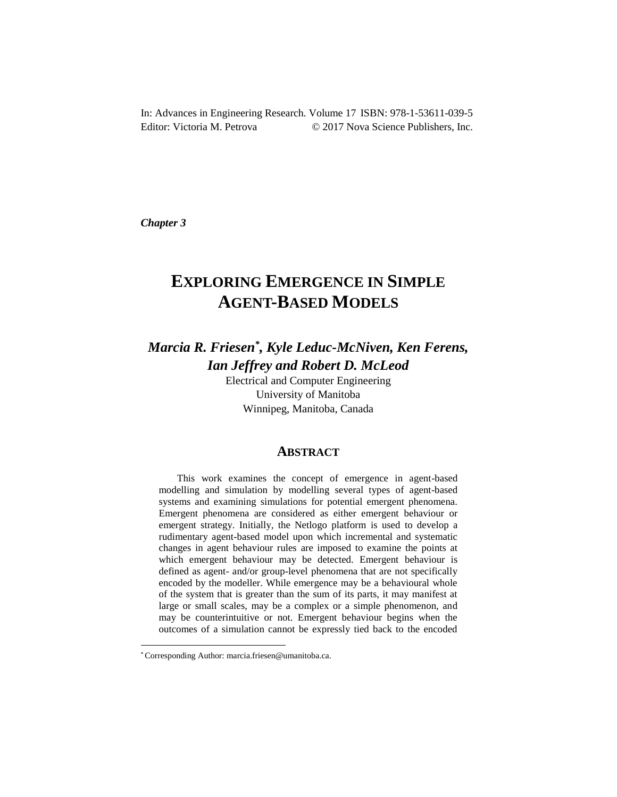In: Advances in Engineering Research. Volume 17 ISBN: 978-1-53611-039-5 Editor: Victoria M. Petrova  $\odot$  2017 Nova Science Publishers, Inc.

*Chapter 3* 

# **EXPLORING EMERGENCE IN SIMPLE AGENT-BASED MODELS**

## *Marcia R. Friesen\* , Kyle Leduc-McNiven, Ken Ferens, Ian Jeffrey and Robert D. McLeod*

Electrical and Computer Engineering University of Manitoba Winnipeg, Manitoba, Canada

## **ABSTRACT**

This work examines the concept of emergence in agent-based modelling and simulation by modelling several types of agent-based systems and examining simulations for potential emergent phenomena. Emergent phenomena are considered as either emergent behaviour or emergent strategy. Initially, the Netlogo platform is used to develop a rudimentary agent-based model upon which incremental and systematic changes in agent behaviour rules are imposed to examine the points at which emergent behaviour may be detected. Emergent behaviour is defined as agent- and/or group-level phenomena that are not specifically encoded by the modeller. While emergence may be a behavioural whole of the system that is greater than the sum of its parts, it may manifest at large or small scales, may be a complex or a simple phenomenon, and may be counterintuitive or not. Emergent behaviour begins when the outcomes of a simulation cannot be expressly tied back to the encoded

l

<sup>\*</sup> Corresponding Author: marcia.friesen@umanitoba.ca.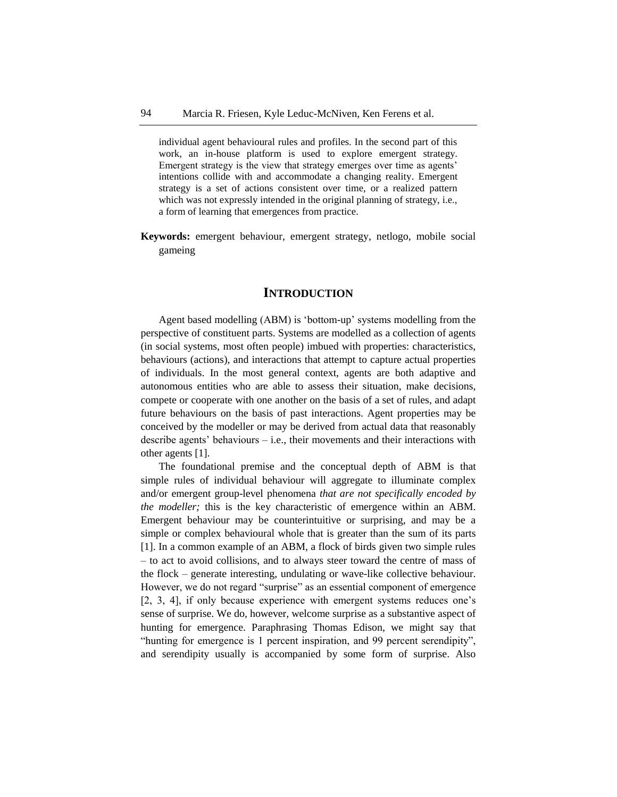individual agent behavioural rules and profiles. In the second part of this work, an in-house platform is used to explore emergent strategy. Emergent strategy is the view that strategy emerges over time as agents' intentions collide with and accommodate a changing reality. Emergent strategy is a set of actions consistent over time, or a realized pattern which was not expressly intended in the original planning of strategy, i.e., a form of learning that emergences from practice.

**Keywords:** emergent behaviour, emergent strategy, netlogo, mobile social gameing

## **INTRODUCTION**

Agent based modelling (ABM) is 'bottom-up' systems modelling from the perspective of constituent parts. Systems are modelled as a collection of agents (in social systems, most often people) imbued with properties: characteristics, behaviours (actions), and interactions that attempt to capture actual properties of individuals. In the most general context, agents are both adaptive and autonomous entities who are able to assess their situation, make decisions, compete or cooperate with one another on the basis of a set of rules, and adapt future behaviours on the basis of past interactions. Agent properties may be conceived by the modeller or may be derived from actual data that reasonably describe agents' behaviours – i.e., their movements and their interactions with other agents [1].

The foundational premise and the conceptual depth of ABM is that simple rules of individual behaviour will aggregate to illuminate complex and/or emergent group-level phenomena *that are not specifically encoded by the modeller;* this is the key characteristic of emergence within an ABM. Emergent behaviour may be counterintuitive or surprising, and may be a simple or complex behavioural whole that is greater than the sum of its parts [1]. In a common example of an ABM, a flock of birds given two simple rules – to act to avoid collisions, and to always steer toward the centre of mass of the flock – generate interesting, undulating or wave-like collective behaviour. However, we do not regard "surprise" as an essential component of emergence [2, 3, 4], if only because experience with emergent systems reduces one's sense of surprise. We do, however, welcome surprise as a substantive aspect of hunting for emergence. Paraphrasing Thomas Edison, we might say that "hunting for emergence is 1 percent inspiration, and 99 percent serendipity", and serendipity usually is accompanied by some form of surprise. Also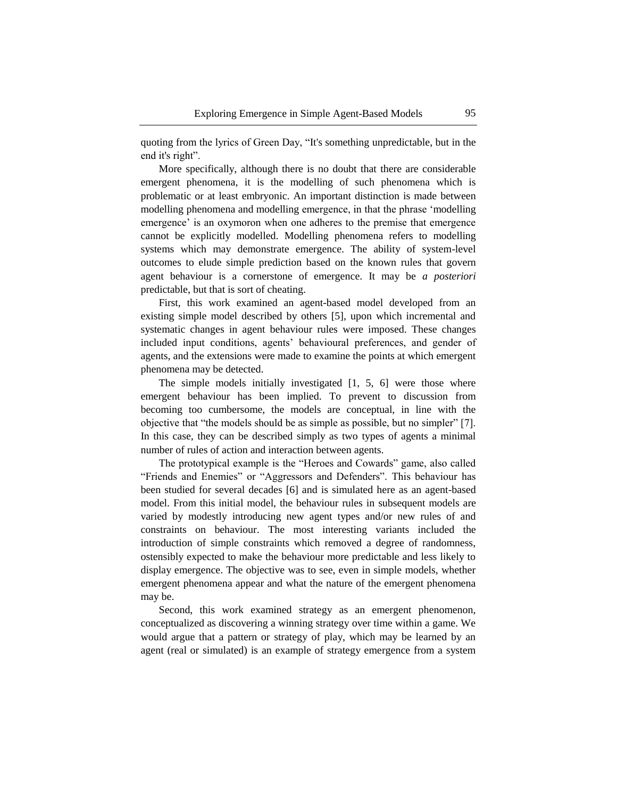quoting from the lyrics of Green Day, "It's something unpredictable, but in the end it's right".

More specifically, although there is no doubt that there are considerable emergent phenomena, it is the modelling of such phenomena which is problematic or at least embryonic. An important distinction is made between modelling phenomena and modelling emergence, in that the phrase 'modelling emergence' is an oxymoron when one adheres to the premise that emergence cannot be explicitly modelled. Modelling phenomena refers to modelling systems which may demonstrate emergence. The ability of system-level outcomes to elude simple prediction based on the known rules that govern agent behaviour is a cornerstone of emergence. It may be *a posteriori*  predictable, but that is sort of cheating.

First, this work examined an agent-based model developed from an existing simple model described by others [5], upon which incremental and systematic changes in agent behaviour rules were imposed. These changes included input conditions, agents' behavioural preferences, and gender of agents, and the extensions were made to examine the points at which emergent phenomena may be detected.

The simple models initially investigated [1, 5, 6] were those where emergent behaviour has been implied. To prevent to discussion from becoming too cumbersome, the models are conceptual, in line with the objective that "the models should be as simple as possible, but no simpler" [7]. In this case, they can be described simply as two types of agents a minimal number of rules of action and interaction between agents.

The prototypical example is the "Heroes and Cowards" game, also called "Friends and Enemies" or "Aggressors and Defenders". This behaviour has been studied for several decades [6] and is simulated here as an agent-based model. From this initial model, the behaviour rules in subsequent models are varied by modestly introducing new agent types and/or new rules of and constraints on behaviour. The most interesting variants included the introduction of simple constraints which removed a degree of randomness, ostensibly expected to make the behaviour more predictable and less likely to display emergence. The objective was to see, even in simple models, whether emergent phenomena appear and what the nature of the emergent phenomena may be.

Second, this work examined strategy as an emergent phenomenon, conceptualized as discovering a winning strategy over time within a game. We would argue that a pattern or strategy of play, which may be learned by an agent (real or simulated) is an example of strategy emergence from a system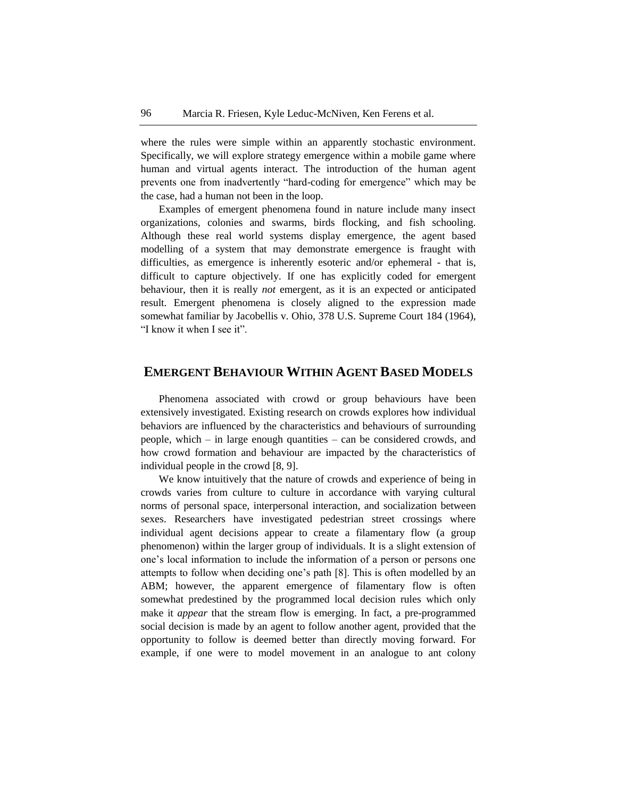where the rules were simple within an apparently stochastic environment. Specifically, we will explore strategy emergence within a mobile game where human and virtual agents interact. The introduction of the human agent prevents one from inadvertently "hard-coding for emergence" which may be the case, had a human not been in the loop.

Examples of emergent phenomena found in nature include many insect organizations, colonies and swarms, birds flocking, and fish schooling. Although these real world systems display emergence, the agent based modelling of a system that may demonstrate emergence is fraught with difficulties, as emergence is inherently esoteric and/or ephemeral - that is, difficult to capture objectively. If one has explicitly coded for emergent behaviour, then it is really *not* emergent, as it is an expected or anticipated result. Emergent phenomena is closely aligned to the expression made somewhat familiar by Jacobellis v. Ohio, 378 U.S. Supreme Court 184 (1964), "I know it when I see it".

## **EMERGENT BEHAVIOUR WITHIN AGENT BASED MODELS**

Phenomena associated with crowd or group behaviours have been extensively investigated. Existing research on crowds explores how individual behaviors are influenced by the characteristics and behaviours of surrounding people, which – in large enough quantities – can be considered crowds, and how crowd formation and behaviour are impacted by the characteristics of individual people in the crowd [8, 9].

We know intuitively that the nature of crowds and experience of being in crowds varies from culture to culture in accordance with varying cultural norms of personal space, interpersonal interaction, and socialization between sexes. Researchers have investigated pedestrian street crossings where individual agent decisions appear to create a filamentary flow (a group phenomenon) within the larger group of individuals. It is a slight extension of one's local information to include the information of a person or persons one attempts to follow when deciding one's path [8]. This is often modelled by an ABM; however, the apparent emergence of filamentary flow is often somewhat predestined by the programmed local decision rules which only make it *appear* that the stream flow is emerging. In fact, a pre-programmed social decision is made by an agent to follow another agent, provided that the opportunity to follow is deemed better than directly moving forward. For example, if one were to model movement in an analogue to ant colony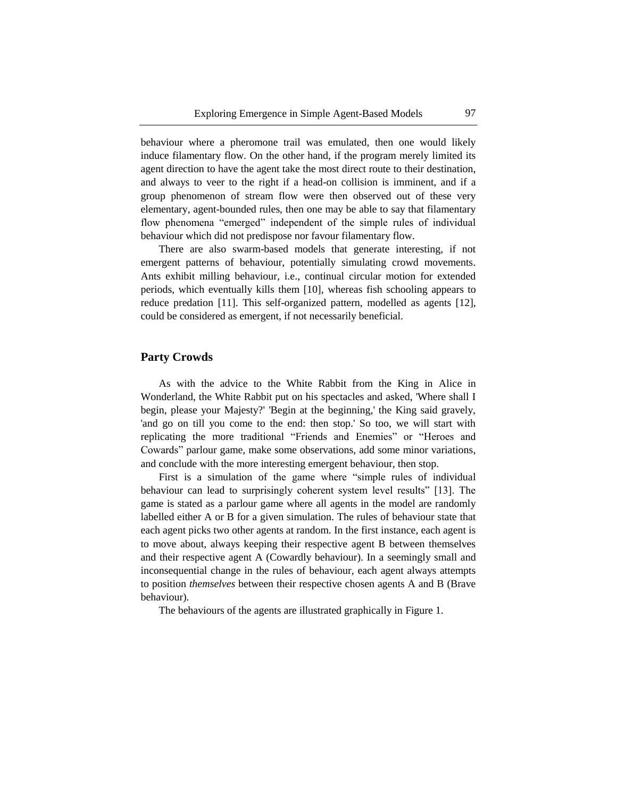behaviour where a pheromone trail was emulated, then one would likely induce filamentary flow. On the other hand, if the program merely limited its agent direction to have the agent take the most direct route to their destination, and always to veer to the right if a head-on collision is imminent, and if a group phenomenon of stream flow were then observed out of these very elementary, agent-bounded rules, then one may be able to say that filamentary flow phenomena "emerged" independent of the simple rules of individual behaviour which did not predispose nor favour filamentary flow.

There are also swarm-based models that generate interesting, if not emergent patterns of behaviour, potentially simulating crowd movements. Ants exhibit milling behaviour, i.e., continual circular motion for extended periods, which eventually kills them [10], whereas fish schooling appears to reduce predation [11]. This self-organized pattern, modelled as agents [12], could be considered as emergent, if not necessarily beneficial.

#### **Party Crowds**

As with the advice to the White Rabbit from the King in Alice in Wonderland, the White Rabbit put on his spectacles and asked, 'Where shall I begin, please your Majesty?' 'Begin at the beginning,' the King said gravely, 'and go on till you come to the end: then stop.' So too, we will start with replicating the more traditional "Friends and Enemies" or "Heroes and Cowards" parlour game, make some observations, add some minor variations, and conclude with the more interesting emergent behaviour, then stop.

First is a simulation of the game where "simple rules of individual behaviour can lead to surprisingly coherent system level results" [13]. The game is stated as a parlour game where all agents in the model are randomly labelled either A or B for a given simulation. The rules of behaviour state that each agent picks two other agents at random. In the first instance, each agent is to move about, always keeping their respective agent B between themselves and their respective agent A (Cowardly behaviour). In a seemingly small and inconsequential change in the rules of behaviour, each agent always attempts to position *themselves* between their respective chosen agents A and B (Brave behaviour).

The behaviours of the agents are illustrated graphically in Figure 1.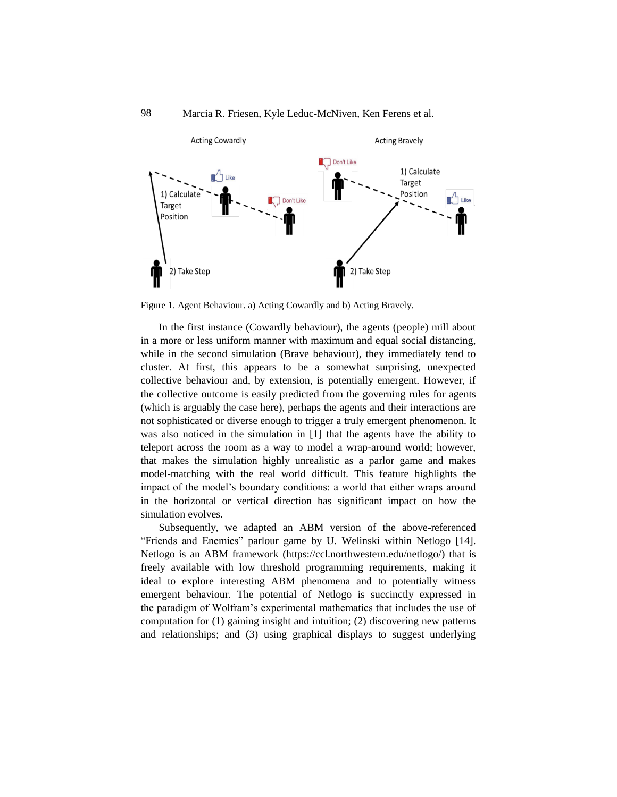

Figure 1. Agent Behaviour. a) Acting Cowardly and b) Acting Bravely.

In the first instance (Cowardly behaviour), the agents (people) mill about in a more or less uniform manner with maximum and equal social distancing, while in the second simulation (Brave behaviour), they immediately tend to cluster. At first, this appears to be a somewhat surprising, unexpected collective behaviour and, by extension, is potentially emergent. However, if the collective outcome is easily predicted from the governing rules for agents (which is arguably the case here), perhaps the agents and their interactions are not sophisticated or diverse enough to trigger a truly emergent phenomenon. It was also noticed in the simulation in [1] that the agents have the ability to teleport across the room as a way to model a wrap-around world; however, that makes the simulation highly unrealistic as a parlor game and makes model-matching with the real world difficult. This feature highlights the impact of the model's boundary conditions: a world that either wraps around in the horizontal or vertical direction has significant impact on how the simulation evolves.

Subsequently, we adapted an ABM version of the above-referenced "Friends and Enemies" parlour game by U. Welinski within Netlogo [14]. Netlogo is an ABM framework (https://ccl.northwestern.edu/netlogo/) that is freely available with low threshold programming requirements, making it ideal to explore interesting ABM phenomena and to potentially witness emergent behaviour. The potential of Netlogo is succinctly expressed in the paradigm of Wolfram's experimental mathematics that includes the use of computation for (1) gaining insight and intuition; (2) discovering new patterns and relationships; and (3) using graphical displays to suggest underlying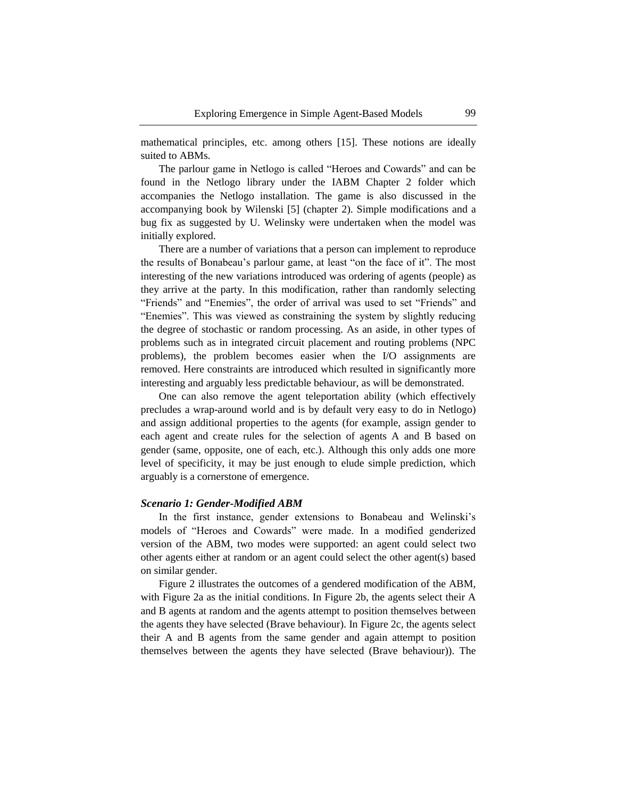mathematical principles, etc. among others [15]. These notions are ideally suited to ABMs.

The parlour game in Netlogo is called "Heroes and Cowards" and can be found in the Netlogo library under the IABM Chapter 2 folder which accompanies the Netlogo installation. The game is also discussed in the accompanying book by Wilenski [5] (chapter 2). Simple modifications and a bug fix as suggested by U. Welinsky were undertaken when the model was initially explored.

There are a number of variations that a person can implement to reproduce the results of Bonabeau's parlour game, at least "on the face of it". The most interesting of the new variations introduced was ordering of agents (people) as they arrive at the party. In this modification, rather than randomly selecting "Friends" and "Enemies", the order of arrival was used to set "Friends" and "Enemies". This was viewed as constraining the system by slightly reducing the degree of stochastic or random processing. As an aside, in other types of problems such as in integrated circuit placement and routing problems (NPC problems), the problem becomes easier when the I/O assignments are removed. Here constraints are introduced which resulted in significantly more interesting and arguably less predictable behaviour, as will be demonstrated.

One can also remove the agent teleportation ability (which effectively precludes a wrap-around world and is by default very easy to do in Netlogo) and assign additional properties to the agents (for example, assign gender to each agent and create rules for the selection of agents A and B based on gender (same, opposite, one of each, etc.). Although this only adds one more level of specificity, it may be just enough to elude simple prediction, which arguably is a cornerstone of emergence.

#### *Scenario 1: Gender-Modified ABM*

In the first instance, gender extensions to Bonabeau and Welinski's models of "Heroes and Cowards" were made. In a modified genderized version of the ABM, two modes were supported: an agent could select two other agents either at random or an agent could select the other agent(s) based on similar gender.

Figure 2 illustrates the outcomes of a gendered modification of the ABM, with Figure 2a as the initial conditions. In Figure 2b, the agents select their A and B agents at random and the agents attempt to position themselves between the agents they have selected (Brave behaviour). In Figure 2c, the agents select their A and B agents from the same gender and again attempt to position themselves between the agents they have selected (Brave behaviour)). The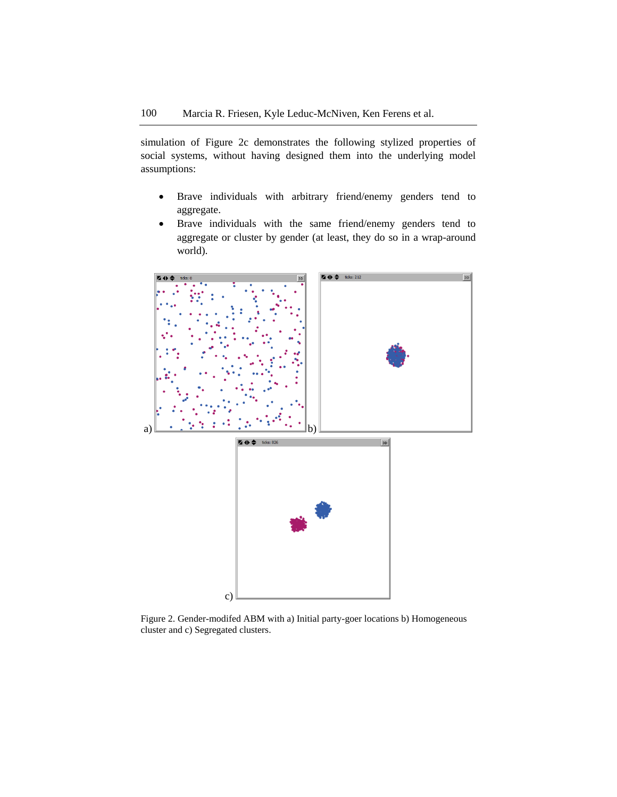simulation of Figure 2c demonstrates the following stylized properties of social systems, without having designed them into the underlying model assumptions:

- Brave individuals with arbitrary friend/enemy genders tend to aggregate.
- Brave individuals with the same friend/enemy genders tend to aggregate or cluster by gender (at least, they do so in a wrap-around world).



Figure 2. Gender-modifed ABM with a) Initial party-goer locations b) Homogeneous cluster and c) Segregated clusters.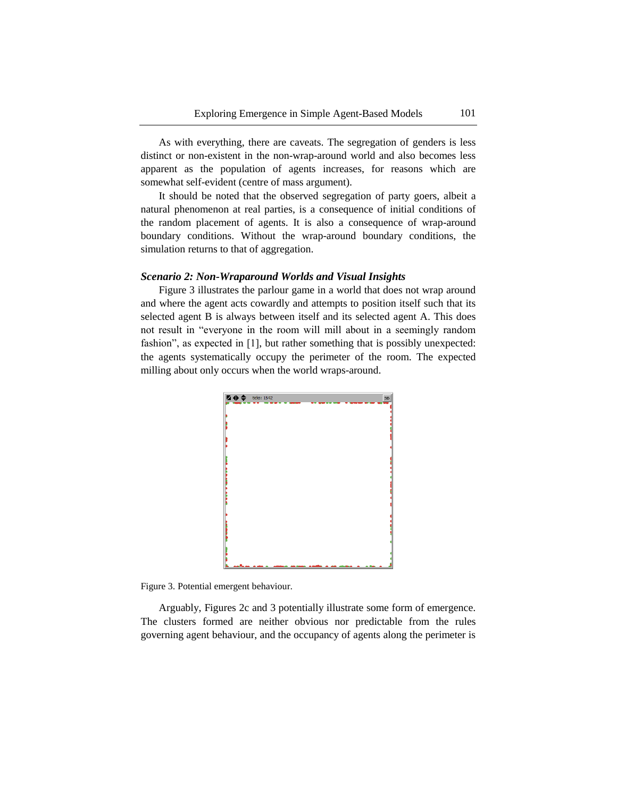As with everything, there are caveats. The segregation of genders is less distinct or non-existent in the non-wrap-around world and also becomes less apparent as the population of agents increases, for reasons which are somewhat self-evident (centre of mass argument).

It should be noted that the observed segregation of party goers, albeit a natural phenomenon at real parties, is a consequence of initial conditions of the random placement of agents. It is also a consequence of wrap-around boundary conditions. Without the wrap-around boundary conditions, the simulation returns to that of aggregation.

#### *Scenario 2: Non-Wraparound Worlds and Visual Insights*

Figure 3 illustrates the parlour game in a world that does not wrap around and where the agent acts cowardly and attempts to position itself such that its selected agent B is always between itself and its selected agent A. This does not result in "everyone in the room will mill about in a seemingly random fashion", as expected in [1], but rather something that is possibly unexpected: the agents systematically occupy the perimeter of the room. The expected milling about only occurs when the world wraps-around.



Figure 3. Potential emergent behaviour.

Arguably, Figures 2c and 3 potentially illustrate some form of emergence. The clusters formed are neither obvious nor predictable from the rules governing agent behaviour, and the occupancy of agents along the perimeter is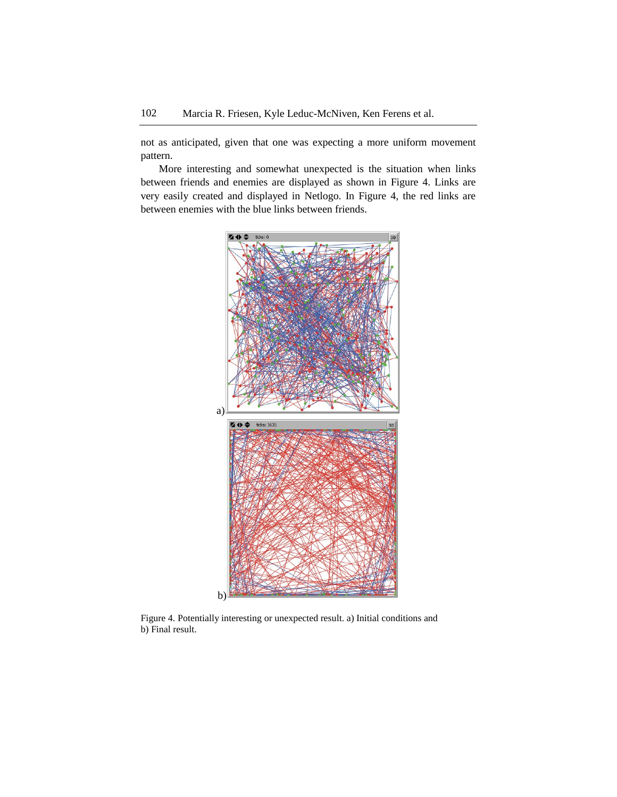not as anticipated, given that one was expecting a more uniform movement pattern.

More interesting and somewhat unexpected is the situation when links between friends and enemies are displayed as shown in Figure 4. Links are very easily created and displayed in Netlogo. In Figure 4, the red links are between enemies with the blue links between friends.



Figure 4. Potentially interesting or unexpected result. a) Initial conditions and b) Final result.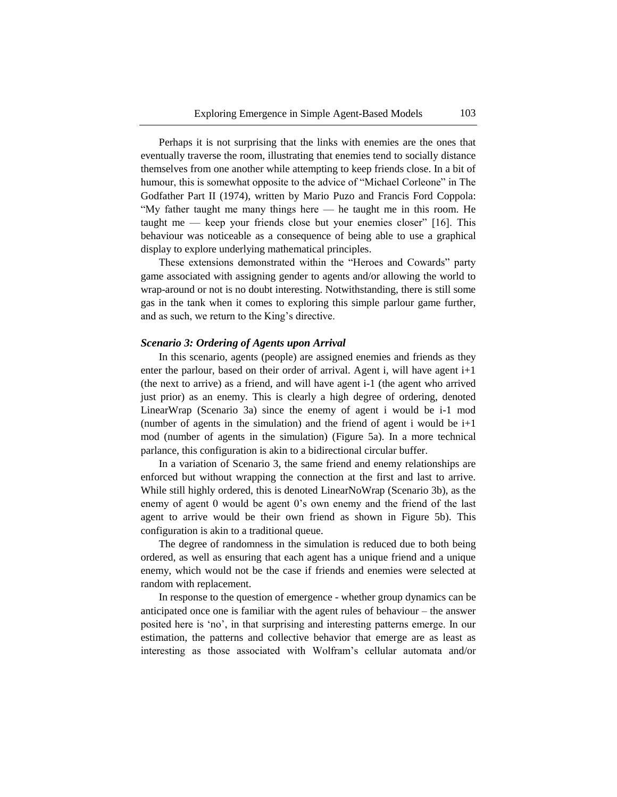Perhaps it is not surprising that the links with enemies are the ones that eventually traverse the room, illustrating that enemies tend to socially distance themselves from one another while attempting to keep friends close. In a bit of humour, this is somewhat opposite to the advice of "Michael Corleone" in The Godfather Part II (1974), written by Mario Puzo and Francis Ford Coppola: "My father taught me many things here — he taught me in this room. He taught me — keep your friends close but your enemies closer" [16]. This behaviour was noticeable as a consequence of being able to use a graphical display to explore underlying mathematical principles.

These extensions demonstrated within the "Heroes and Cowards" party game associated with assigning gender to agents and/or allowing the world to wrap-around or not is no doubt interesting. Notwithstanding, there is still some gas in the tank when it comes to exploring this simple parlour game further, and as such, we return to the King's directive.

#### *Scenario 3: Ordering of Agents upon Arrival*

In this scenario, agents (people) are assigned enemies and friends as they enter the parlour, based on their order of arrival. Agent i, will have agent i+1 (the next to arrive) as a friend, and will have agent i-1 (the agent who arrived just prior) as an enemy. This is clearly a high degree of ordering, denoted LinearWrap (Scenario 3a) since the enemy of agent i would be i-1 mod (number of agents in the simulation) and the friend of agent i would be i+1 mod (number of agents in the simulation) (Figure 5a). In a more technical parlance, this configuration is akin to a bidirectional circular buffer.

In a variation of Scenario 3, the same friend and enemy relationships are enforced but without wrapping the connection at the first and last to arrive. While still highly ordered, this is denoted LinearNoWrap (Scenario 3b), as the enemy of agent 0 would be agent 0's own enemy and the friend of the last agent to arrive would be their own friend as shown in Figure 5b). This configuration is akin to a traditional queue.

The degree of randomness in the simulation is reduced due to both being ordered, as well as ensuring that each agent has a unique friend and a unique enemy, which would not be the case if friends and enemies were selected at random with replacement.

In response to the question of emergence - whether group dynamics can be anticipated once one is familiar with the agent rules of behaviour – the answer posited here is 'no', in that surprising and interesting patterns emerge. In our estimation, the patterns and collective behavior that emerge are as least as interesting as those associated with Wolfram's cellular automata and/or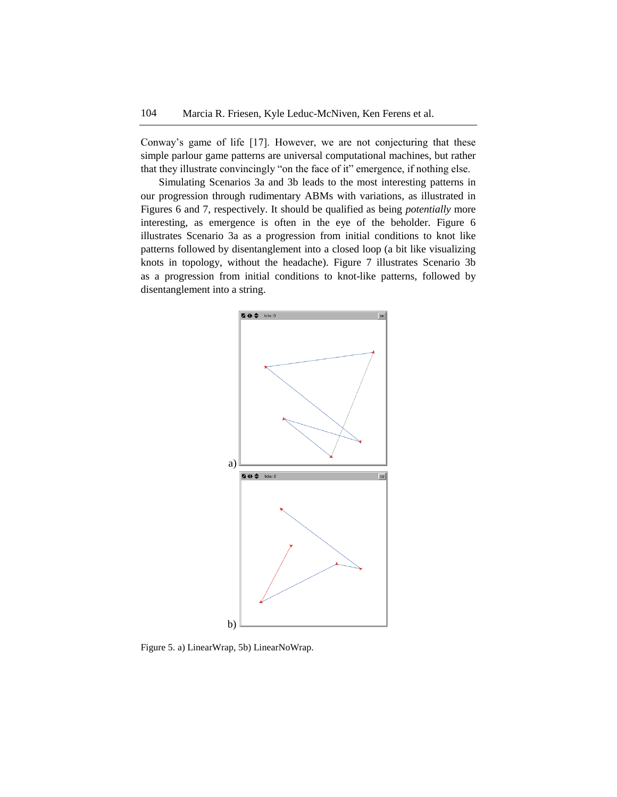Conway's game of life [17]. However, we are not conjecturing that these simple parlour game patterns are universal computational machines, but rather that they illustrate convincingly "on the face of it" emergence, if nothing else.

Simulating Scenarios 3a and 3b leads to the most interesting patterns in our progression through rudimentary ABMs with variations, as illustrated in Figures 6 and 7, respectively. It should be qualified as being *potentially* more interesting, as emergence is often in the eye of the beholder. Figure 6 illustrates Scenario 3a as a progression from initial conditions to knot like patterns followed by disentanglement into a closed loop (a bit like visualizing knots in topology, without the headache). Figure 7 illustrates Scenario 3b as a progression from initial conditions to knot-like patterns, followed by disentanglement into a string.



Figure 5. a) LinearWrap, 5b) LinearNoWrap.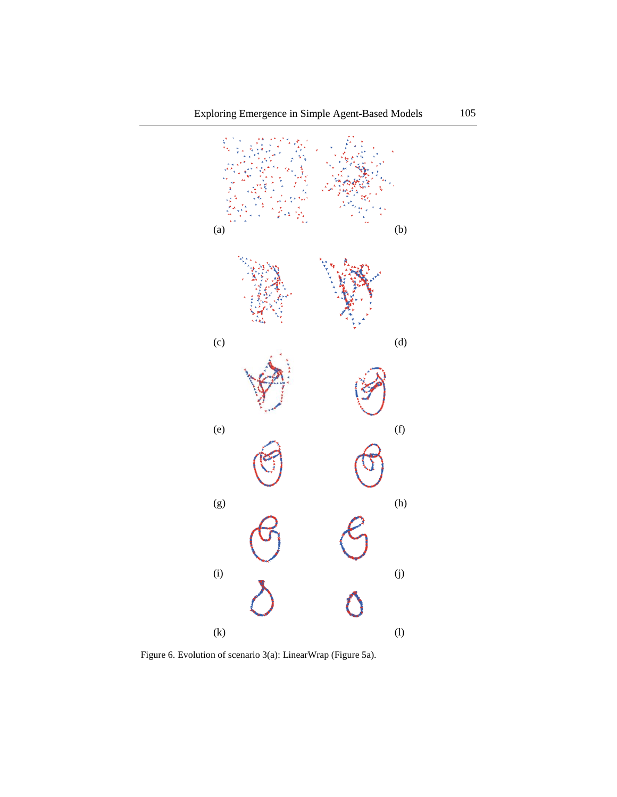

Figure 6. Evolution of scenario 3(a): LinearWrap (Figure 5a).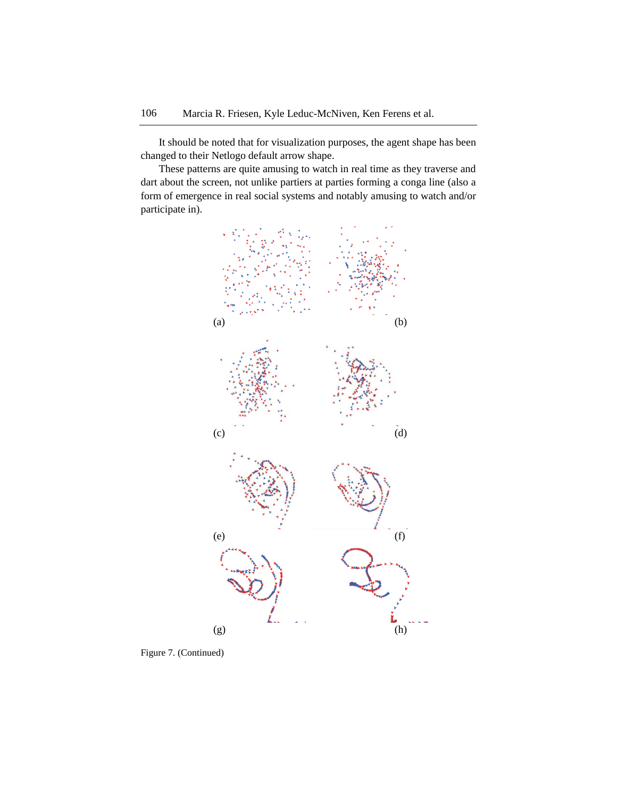It should be noted that for visualization purposes, the agent shape has been changed to their Netlogo default arrow shape.

These patterns are quite amusing to watch in real time as they traverse and dart about the screen, not unlike partiers at parties forming a conga line (also a form of emergence in real social systems and notably amusing to watch and/or participate in).



Figure 7. (Continued)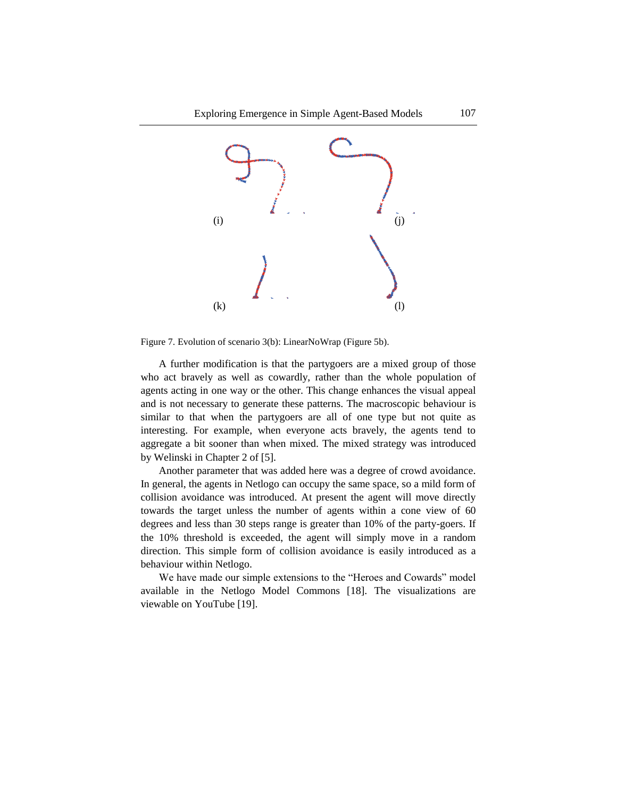

Figure 7. Evolution of scenario 3(b): LinearNoWrap (Figure 5b).

A further modification is that the partygoers are a mixed group of those who act bravely as well as cowardly, rather than the whole population of agents acting in one way or the other. This change enhances the visual appeal and is not necessary to generate these patterns. The macroscopic behaviour is similar to that when the partygoers are all of one type but not quite as interesting. For example, when everyone acts bravely, the agents tend to aggregate a bit sooner than when mixed. The mixed strategy was introduced by Welinski in Chapter 2 of [5].

Another parameter that was added here was a degree of crowd avoidance. In general, the agents in Netlogo can occupy the same space, so a mild form of collision avoidance was introduced. At present the agent will move directly towards the target unless the number of agents within a cone view of 60 degrees and less than 30 steps range is greater than 10% of the party-goers. If the 10% threshold is exceeded, the agent will simply move in a random direction. This simple form of collision avoidance is easily introduced as a behaviour within Netlogo.

We have made our simple extensions to the "Heroes and Cowards" model available in the Netlogo Model Commons [18]. The visualizations are viewable on YouTube [19].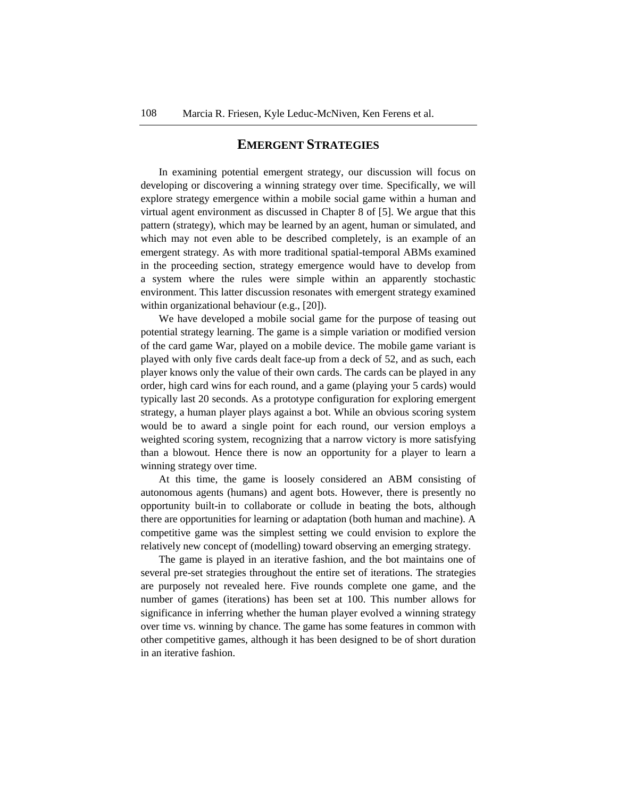## **EMERGENT STRATEGIES**

In examining potential emergent strategy, our discussion will focus on developing or discovering a winning strategy over time. Specifically, we will explore strategy emergence within a mobile social game within a human and virtual agent environment as discussed in Chapter 8 of [5]. We argue that this pattern (strategy), which may be learned by an agent, human or simulated, and which may not even able to be described completely, is an example of an emergent strategy. As with more traditional spatial-temporal ABMs examined in the proceeding section, strategy emergence would have to develop from a system where the rules were simple within an apparently stochastic environment. This latter discussion resonates with emergent strategy examined within organizational behaviour (e.g., [20]).

We have developed a mobile social game for the purpose of teasing out potential strategy learning. The game is a simple variation or modified version of the card game War, played on a mobile device. The mobile game variant is played with only five cards dealt face-up from a deck of 52, and as such, each player knows only the value of their own cards. The cards can be played in any order, high card wins for each round, and a game (playing your 5 cards) would typically last 20 seconds. As a prototype configuration for exploring emergent strategy, a human player plays against a bot. While an obvious scoring system would be to award a single point for each round, our version employs a weighted scoring system, recognizing that a narrow victory is more satisfying than a blowout. Hence there is now an opportunity for a player to learn a winning strategy over time.

At this time, the game is loosely considered an ABM consisting of autonomous agents (humans) and agent bots. However, there is presently no opportunity built-in to collaborate or collude in beating the bots, although there are opportunities for learning or adaptation (both human and machine). A competitive game was the simplest setting we could envision to explore the relatively new concept of (modelling) toward observing an emerging strategy.

The game is played in an iterative fashion, and the bot maintains one of several pre-set strategies throughout the entire set of iterations. The strategies are purposely not revealed here. Five rounds complete one game, and the number of games (iterations) has been set at 100. This number allows for significance in inferring whether the human player evolved a winning strategy over time vs. winning by chance. The game has some features in common with other competitive games, although it has been designed to be of short duration in an iterative fashion.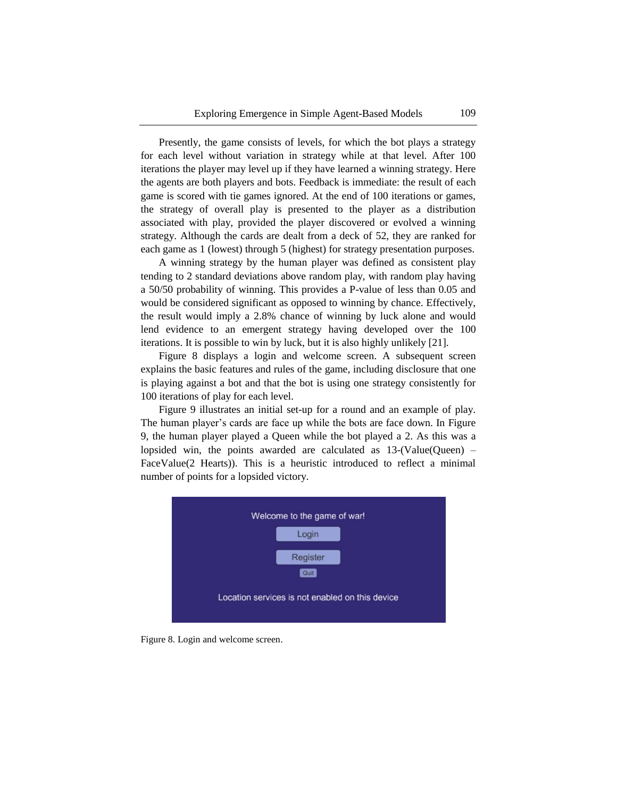Presently, the game consists of levels, for which the bot plays a strategy for each level without variation in strategy while at that level. After 100 iterations the player may level up if they have learned a winning strategy. Here the agents are both players and bots. Feedback is immediate: the result of each game is scored with tie games ignored. At the end of 100 iterations or games, the strategy of overall play is presented to the player as a distribution associated with play, provided the player discovered or evolved a winning strategy. Although the cards are dealt from a deck of 52, they are ranked for each game as 1 (lowest) through 5 (highest) for strategy presentation purposes.

A winning strategy by the human player was defined as consistent play tending to 2 standard deviations above random play, with random play having a 50/50 probability of winning. This provides a P-value of less than 0.05 and would be considered significant as opposed to winning by chance. Effectively, the result would imply a 2.8% chance of winning by luck alone and would lend evidence to an emergent strategy having developed over the 100 iterations. It is possible to win by luck, but it is also highly unlikely [21].

Figure 8 displays a login and welcome screen. A subsequent screen explains the basic features and rules of the game, including disclosure that one is playing against a bot and that the bot is using one strategy consistently for 100 iterations of play for each level.

Figure 9 illustrates an initial set-up for a round and an example of play. The human player's cards are face up while the bots are face down. In Figure 9, the human player played a Queen while the bot played a 2. As this was a lopsided win, the points awarded are calculated as  $13-(Value(Queen) -$ FaceValue(2 Hearts)). This is a heuristic introduced to reflect a minimal number of points for a lopsided victory.



Figure 8. Login and welcome screen.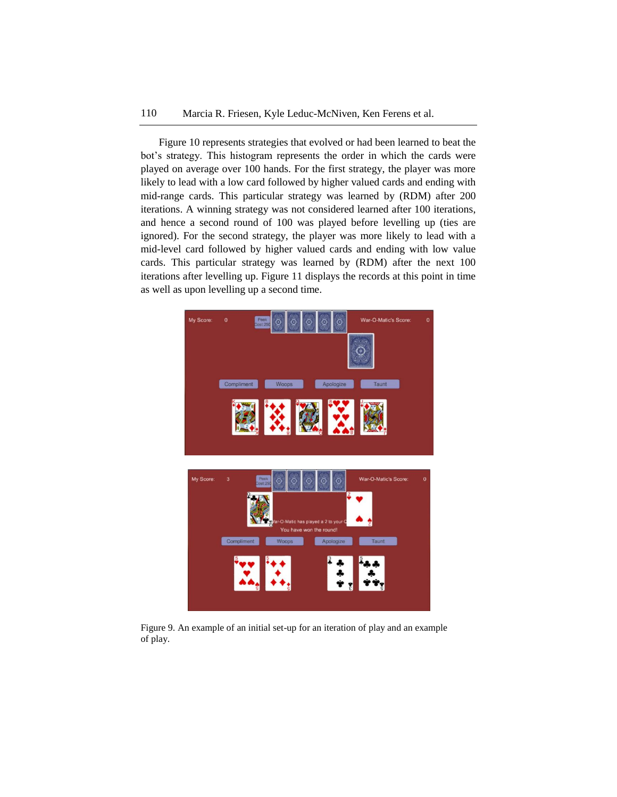Figure 10 represents strategies that evolved or had been learned to beat the bot's strategy. This histogram represents the order in which the cards were played on average over 100 hands. For the first strategy, the player was more likely to lead with a low card followed by higher valued cards and ending with mid-range cards. This particular strategy was learned by (RDM) after 200 iterations. A winning strategy was not considered learned after 100 iterations, and hence a second round of 100 was played before levelling up (ties are ignored). For the second strategy, the player was more likely to lead with a mid-level card followed by higher valued cards and ending with low value cards. This particular strategy was learned by (RDM) after the next 100 iterations after levelling up. Figure 11 displays the records at this point in time as well as upon levelling up a second time.



Figure 9. An example of an initial set-up for an iteration of play and an example of play.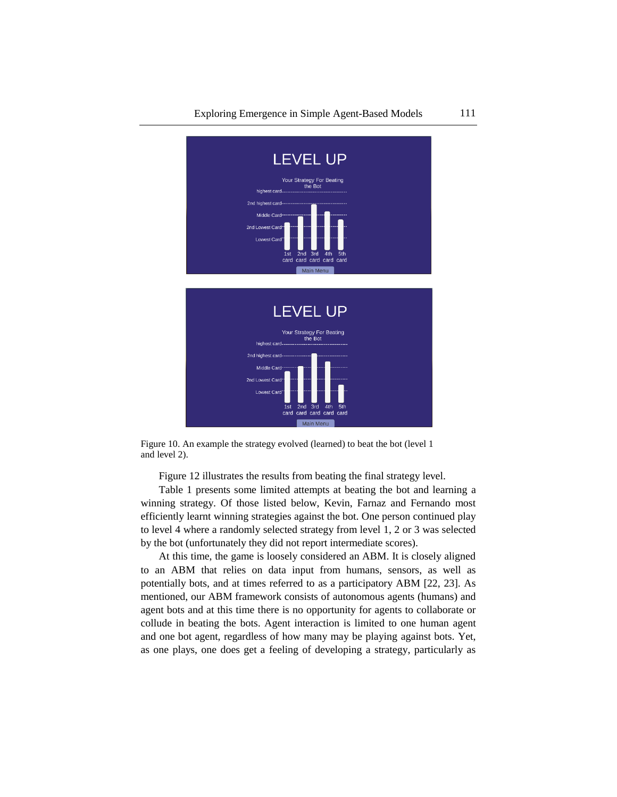

Figure 10. An example the strategy evolved (learned) to beat the bot (level 1 and level 2).

Figure 12 illustrates the results from beating the final strategy level.

Table 1 presents some limited attempts at beating the bot and learning a winning strategy. Of those listed below, Kevin, Farnaz and Fernando most efficiently learnt winning strategies against the bot. One person continued play to level 4 where a randomly selected strategy from level 1, 2 or 3 was selected by the bot (unfortunately they did not report intermediate scores).

At this time, the game is loosely considered an ABM. It is closely aligned to an ABM that relies on data input from humans, sensors, as well as potentially bots, and at times referred to as a participatory ABM [22, 23]. As mentioned, our ABM framework consists of autonomous agents (humans) and agent bots and at this time there is no opportunity for agents to collaborate or collude in beating the bots. Agent interaction is limited to one human agent and one bot agent, regardless of how many may be playing against bots. Yet, as one plays, one does get a feeling of developing a strategy, particularly as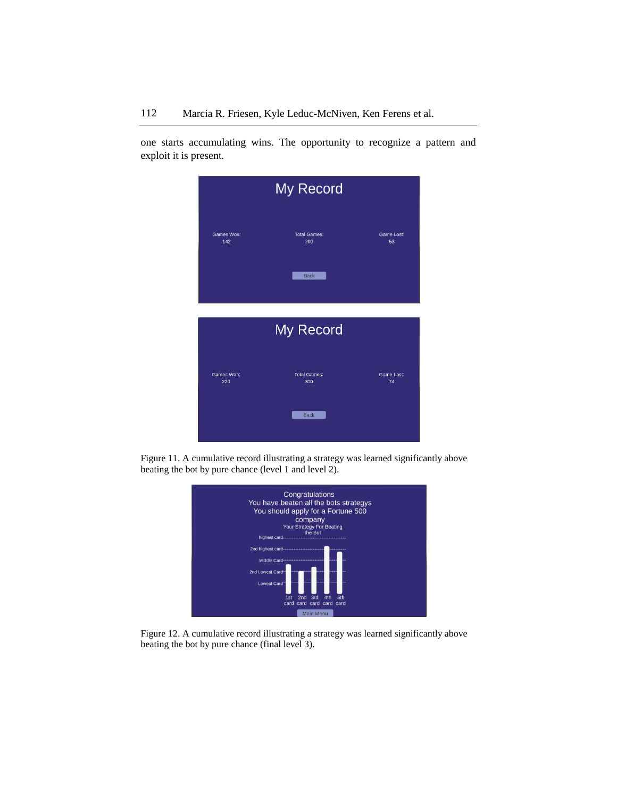one starts accumulating wins. The opportunity to recognize a pattern and exploit it is present.



Figure 11. A cumulative record illustrating a strategy was learned significantly above beating the bot by pure chance (level 1 and level 2).



Figure 12. A cumulative record illustrating a strategy was learned significantly above beating the bot by pure chance (final level 3).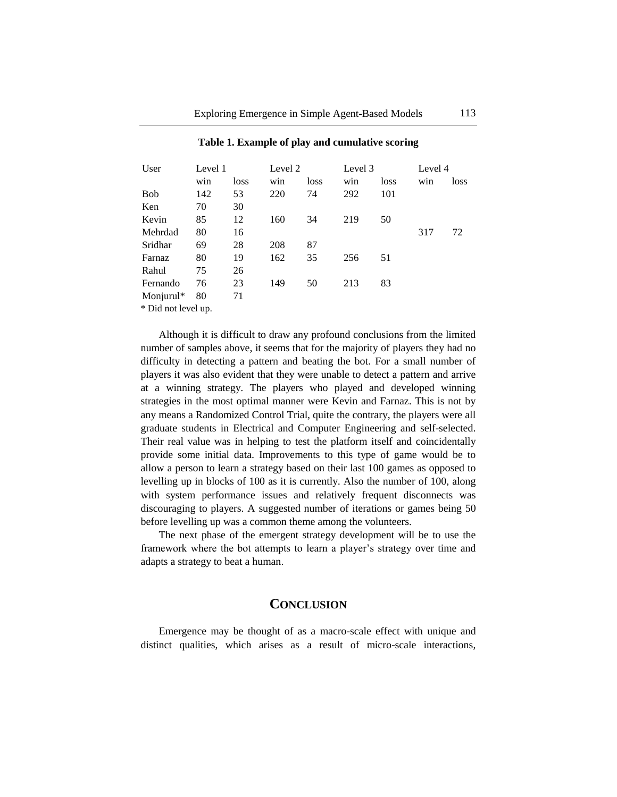| User                | Level 1 |      | Level 2 |      | Level 3 |      | Level 4 |      |
|---------------------|---------|------|---------|------|---------|------|---------|------|
|                     | win     | loss | win     | loss | win     | loss | win     | loss |
| <b>Bob</b>          | 142     | 53   | 220     | 74   | 292     | 101  |         |      |
| Ken                 | 70      | 30   |         |      |         |      |         |      |
| Kevin               | 85      | 12   | 160     | 34   | 219     | 50   |         |      |
| Mehrdad             | 80      | 16   |         |      |         |      | 317     | 72   |
| Sridhar             | 69      | 28   | 208     | 87   |         |      |         |      |
| Farnaz              | 80      | 19   | 162     | 35   | 256     | 51   |         |      |
| Rahul               | 75      | 26   |         |      |         |      |         |      |
| Fernando            | 76      | 23   | 149     | 50   | 213     | 83   |         |      |
| Monjurul*           | 80      | 71   |         |      |         |      |         |      |
| * Did not level up. |         |      |         |      |         |      |         |      |

#### **Table 1. Example of play and cumulative scoring**

Although it is difficult to draw any profound conclusions from the limited number of samples above, it seems that for the majority of players they had no difficulty in detecting a pattern and beating the bot. For a small number of players it was also evident that they were unable to detect a pattern and arrive at a winning strategy. The players who played and developed winning strategies in the most optimal manner were Kevin and Farnaz. This is not by any means a Randomized Control Trial, quite the contrary, the players were all graduate students in Electrical and Computer Engineering and self-selected. Their real value was in helping to test the platform itself and coincidentally provide some initial data. Improvements to this type of game would be to allow a person to learn a strategy based on their last 100 games as opposed to levelling up in blocks of 100 as it is currently. Also the number of 100, along with system performance issues and relatively frequent disconnects was discouraging to players. A suggested number of iterations or games being 50 before levelling up was a common theme among the volunteers.

The next phase of the emergent strategy development will be to use the framework where the bot attempts to learn a player's strategy over time and adapts a strategy to beat a human.

## **CONCLUSION**

Emergence may be thought of as a macro-scale effect with unique and distinct qualities, which arises as a result of micro-scale interactions,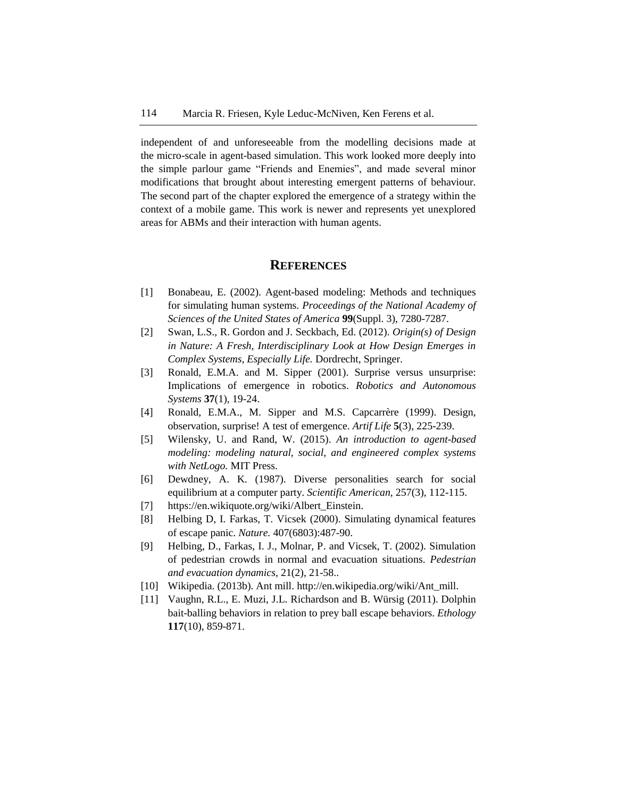independent of and unforeseeable from the modelling decisions made at the micro-scale in agent-based simulation. This work looked more deeply into the simple parlour game "Friends and Enemies", and made several minor modifications that brought about interesting emergent patterns of behaviour. The second part of the chapter explored the emergence of a strategy within the context of a mobile game. This work is newer and represents yet unexplored areas for ABMs and their interaction with human agents.

## **REFERENCES**

- [1] Bonabeau, E. (2002). Agent-based modeling: Methods and techniques for simulating human systems. *Proceedings of the National Academy of Sciences of the United States of America* **99**(Suppl. 3), 7280-7287.
- [2] Swan, L.S., R. Gordon and J. Seckbach, Ed. (2012). *Origin(s) of Design in Nature: A Fresh, Interdisciplinary Look at How Design Emerges in Complex Systems, Especially Life.* Dordrecht, Springer.
- [3] Ronald, E.M.A. and M. Sipper (2001). Surprise versus unsurprise: Implications of emergence in robotics. *Robotics and Autonomous Systems* **37**(1), 19-24.
- [4] Ronald, E.M.A., M. Sipper and M.S. Capcarrère (1999). Design, observation, surprise! A test of emergence. *Artif Life* **5**(3), 225-239.
- [5] Wilensky, U. and Rand, W. (2015). *An introduction to agent-based modeling: modeling natural, social, and engineered complex systems with NetLogo.* MIT Press.
- [6] Dewdney, A. K. (1987). Diverse personalities search for social equilibrium at a computer party. *Scientific American*, 257(3), 112-115.
- [7] https://en.wikiquote.org/wiki/Albert\_Einstein.
- [8] Helbing D, I. Farkas, T. Vicsek (2000). Simulating dynamical features of escape panic. *Nature.* 407(6803):487-90.
- [9] Helbing, D., Farkas, I. J., Molnar, P. and Vicsek, T. (2002). Simulation of pedestrian crowds in normal and evacuation situations. *Pedestrian and evacuation dynamics*, 21(2), 21-58..
- [10] Wikipedia. (2013b). Ant mill. http://en.wikipedia.org/wiki/Ant\_mill.
- [11] Vaughn, R.L., E. Muzi, J.L. Richardson and B. Würsig (2011). Dolphin bait-balling behaviors in relation to prey ball escape behaviors. *Ethology* **117**(10), 859-871.